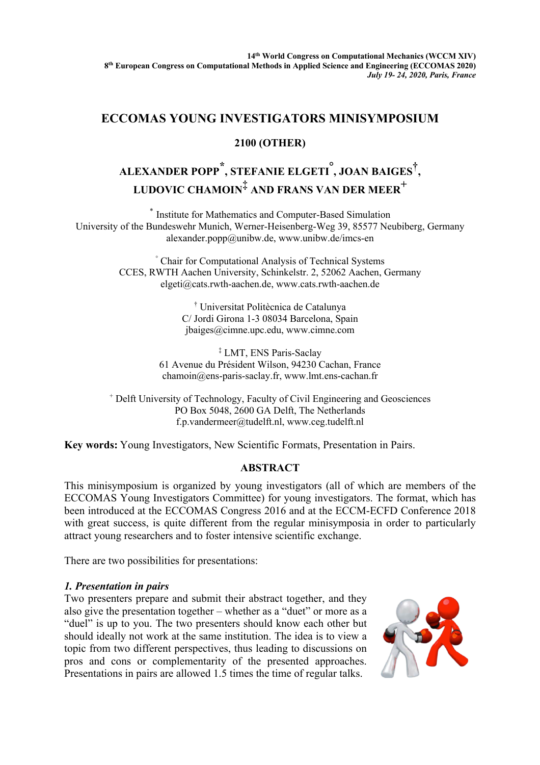## **ECCOMAS YOUNG INVESTIGATORS MINISYMPOSIUM**

## **2100 (OTHER)**

# **ALEXANDER POPP \*, STEFANIE ELGETI° , JOAN BAIGES†, LUDOVIC CHAMOIN‡ AND FRANS VAN DER MEER<sup>+</sup>**

\* Institute for Mathematics and Computer-Based Simulation University of the Bundeswehr Munich, Werner-Heisenberg-Weg 39, 85577 Neubiberg, Germany alexander.popp@unibw.de, www.unibw.de/imcs-en

> ° Chair for Computational Analysis of Technical Systems CCES, RWTH Aachen University, Schinkelstr. 2, 52062 Aachen, Germany elgeti@cats.rwth-aachen.de, www.cats.rwth-aachen.de

> > † Universitat Politècnica de Catalunya C/ Jordi Girona 1-3 08034 Barcelona, Spain jbaiges@cimne.upc.edu, www.cimne.com

‡ LMT, ENS Paris-Saclay 61 Avenue du Président Wilson, 94230 Cachan, France chamoin@ens-paris-saclay.fr, www.lmt.ens-cachan.fr

<sup>+</sup> Delft University of Technology, Faculty of Civil Engineering and Geosciences PO Box 5048, 2600 GA Delft, The Netherlands f.p.vandermeer@tudelft.nl, www.ceg.tudelft.nl

**Key words:** Young Investigators, New Scientific Formats, Presentation in Pairs.

### **ABSTRACT**

This minisymposium is organized by young investigators (all of which are members of the ECCOMAS Young Investigators Committee) for young investigators. The format, which has been introduced at the ECCOMAS Congress 2016 and at the ECCM-ECFD Conference 2018 with great success, is quite different from the regular minisymposia in order to particularly attract young researchers and to foster intensive scientific exchange.

There are two possibilities for presentations:

#### *1. Presentation in pairs*

Two presenters prepare and submit their abstract together, and they also give the presentation together – whether as a "duet" or more as a "duel" is up to you. The two presenters should know each other but should ideally not work at the same institution. The idea is to view a topic from two different perspectives, thus leading to discussions on pros and cons or complementarity of the presented approaches. Presentations in pairs are allowed 1.5 times the time of regular talks.